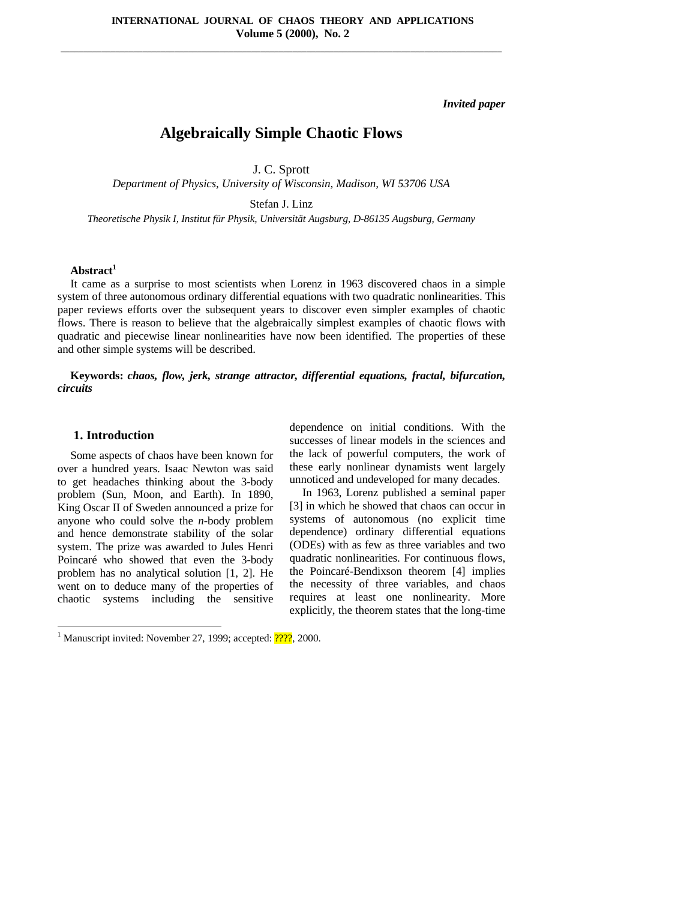**\_\_\_\_\_\_\_\_\_\_\_\_\_\_\_\_\_\_\_\_\_\_\_\_\_\_\_\_\_\_\_\_\_\_\_\_\_\_\_\_\_\_\_\_\_\_\_\_\_\_\_\_\_\_\_\_\_\_\_\_\_\_\_\_\_\_\_\_\_\_\_\_\_\_\_\_\_\_\_\_\_\_\_\_\_\_\_\_\_\_\_\_\_\_\_\_\_**

*Invited paper*

# **Algebraically Simple Chaotic Flows**

J. C. Sprott

*Department of Physics, University of Wisconsin, Madison, WI 53706 USA*

Stefan J. Linz

*Theoretische Physik I, Institut für Physik, Universität Augsburg, D-86135 Augsburg, Germany*

## **Abstract<sup>1</sup>**

It came as a surprise to most scientists when Lorenz in 1963 discovered chaos in a simple system of three autonomous ordinary differential equations with two quadratic nonlinearities. This paper reviews efforts over the subsequent years to discover even simpler examples of chaotic flows. There is reason to believe that the algebraically simplest examples of chaotic flows with quadratic and piecewise linear nonlinearities have now been identified. The properties of these and other simple systems will be described.

**Keywords:** *chaos, flow, jerk, strange attractor, differential equations, fractal, bifurcation, circuits*

#### **1. Introduction**

 $\overline{a}$ 

Some aspects of chaos have been known for over a hundred years. Isaac Newton was said to get headaches thinking about the 3-body problem (Sun, Moon, and Earth). In 1890, King Oscar II of Sweden announced a prize for anyone who could solve the *n*-body problem and hence demonstrate stability of the solar system. The prize was awarded to Jules Henri Poincaré who showed that even the 3-body problem has no analytical solution [1, 2]. He went on to deduce many of the properties of chaotic systems including the sensitive

dependence on initial conditions. With the successes of linear models in the sciences and the lack of powerful computers, the work of these early nonlinear dynamists went largely unnoticed and undeveloped for many decades.

In 1963, Lorenz published a seminal paper [3] in which he showed that chaos can occur in systems of autonomous (no explicit time dependence) ordinary differential equations (ODEs) with as few as three variables and two quadratic nonlinearities. For continuous flows, the Poincaré-Bendixson theorem [4] implies the necessity of three variables, and chaos requires at least one nonlinearity. More explicitly, the theorem states that the long-time

<sup>&</sup>lt;sup>1</sup> Manuscript invited: November 27, 1999; accepted: <sup>2222</sup>, 2000.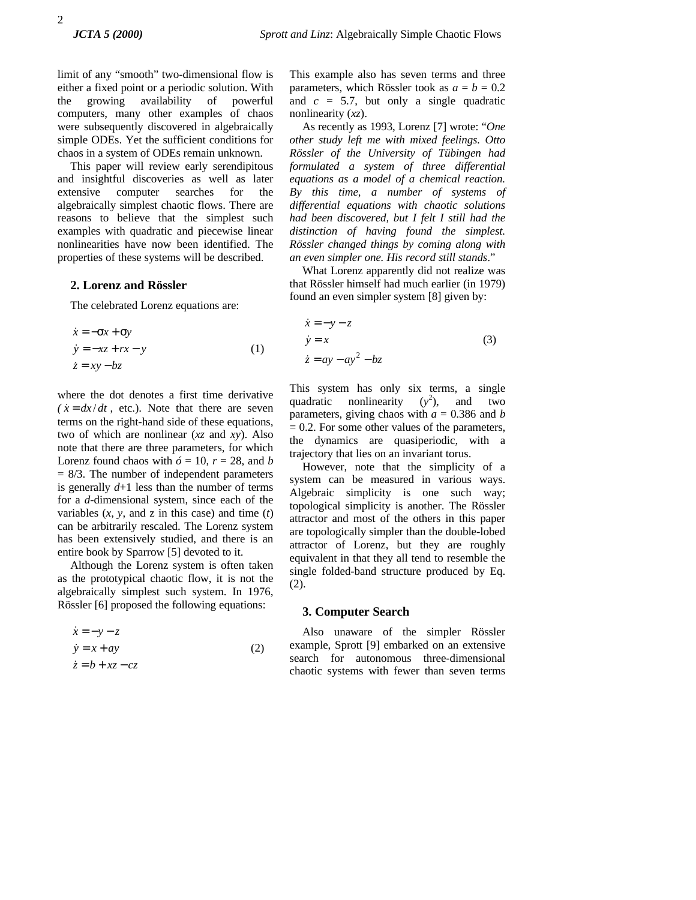limit of any "smooth" two-dimensional flow is either a fixed point or a periodic solution. With the growing availability of powerful computers, many other examples of chaos were subsequently discovered in algebraically simple ODEs. Yet the sufficient conditions for chaos in a system of ODEs remain unknown.

This paper will review early serendipitous and insightful discoveries as well as later extensive computer searches for the algebraically simplest chaotic flows. There are reasons to believe that the simplest such examples with quadratic and piecewise linear nonlinearities have now been identified. The properties of these systems will be described.

#### **2. Lorenz and Rössler**

The celebrated Lorenz equations are:

$$
\begin{aligned}\n\dot{x} &= -\sigma x + \sigma y \\
\dot{y} &= -xz + rx - y \\
\dot{z} &= xy - bz\n\end{aligned} (1)
$$

where the dot denotes a first time derivative  $\int \dot{x} = dx/dt$ , etc.). Note that there are seven terms on the right-hand side of these equations, two of which are nonlinear (*xz* and *xy*). Also note that there are three parameters, for which Lorenz found chaos with  $\acute{o}$  = 10,  $r = 28$ , and *b*  $= 8/3$ . The number of independent parameters is generally  $d+1$  less than the number of terms for a *d*-dimensional system, since each of the variables  $(x, y,$  and  $z$  in this case) and time  $(t)$ can be arbitrarily rescaled. The Lorenz system has been extensively studied, and there is an entire book by Sparrow [5] devoted to it.

Although the Lorenz system is often taken as the prototypical chaotic flow, it is not the algebraically simplest such system. In 1976, Rössler [6] proposed the following equations:

$$
\begin{aligned}\n\dot{x} &= -y - z\\ \n\dot{y} &= x + ay\n\end{aligned} \tag{2}
$$
\n
$$
\begin{aligned}\n\dot{z} &= b + xz - cz\n\end{aligned}
$$

This example also has seven terms and three parameters, which Rössler took as  $a = b = 0.2$ and  $c = 5.7$ , but only a single quadratic nonlinearity (*xz*).

As recently as 1993, Lorenz [7] wrote: "*One other study left me with mixed feelings. Otto Rössler of the University of Tübingen had formulated a system of three differential equations as a model of a chemical reaction. By this time, a number of systems of differential equations with chaotic solutions had been discovered, but I felt I still had the distinction of having found the simplest. Rössler changed things by coming along with an even simpler one. His record still stands*."

What Lorenz apparently did not realize was that Rössler himself had much earlier (in 1979) found an even simpler system [8] given by:

$$
\begin{aligned}\n\dot{x} &= -y - z \\
\dot{y} &= x\n\end{aligned} \tag{3}
$$
\n
$$
\begin{aligned}\n\dot{z} &= ay - ay^2 - bz\n\end{aligned}
$$

This system has only six terms, a single quadratic nonlinearity  $(y^2)$ , and two parameters, giving chaos with  $a = 0.386$  and *b*  $= 0.2$ . For some other values of the parameters, the dynamics are quasiperiodic, with a trajectory that lies on an invariant torus.

However, note that the simplicity of a system can be measured in various ways. Algebraic simplicity is one such way; topological simplicity is another. The Rössler attractor and most of the others in this paper are topologically simpler than the double-lobed attractor of Lorenz, but they are roughly equivalent in that they all tend to resemble the single folded-band structure produced by Eq. (2).

#### **3. Computer Search**

Also unaware of the simpler Rössler example, Sprott [9] embarked on an extensive search for autonomous three-dimensional chaotic systems with fewer than seven terms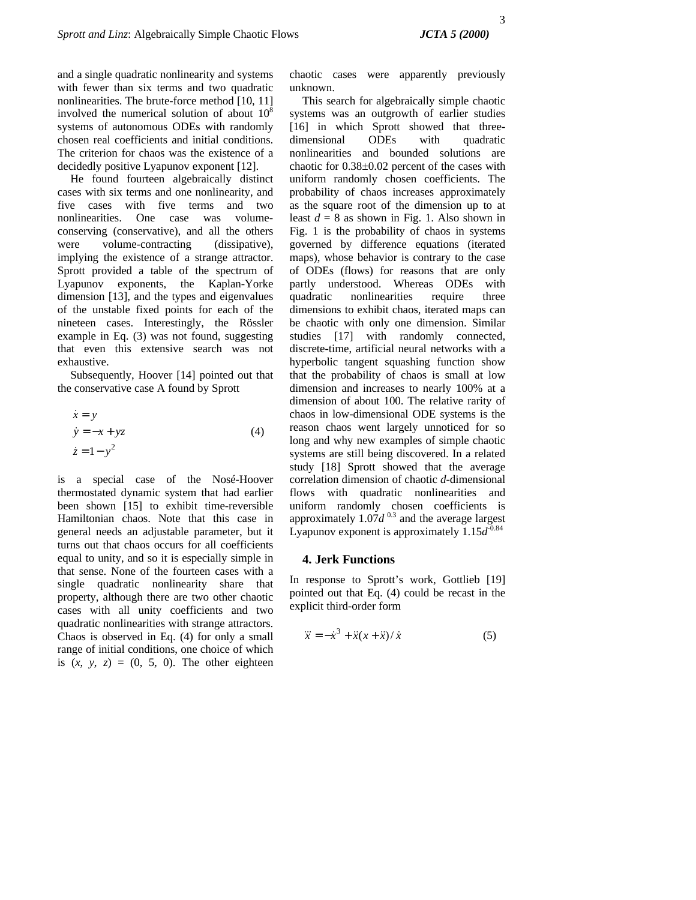and a single quadratic nonlinearity and systems with fewer than six terms and two quadratic nonlinearities. The brute-force method [10, 11] involved the numerical solution of about  $10<sup>8</sup>$ systems of autonomous ODEs with randomly chosen real coefficients and initial conditions. The criterion for chaos was the existence of a decidedly positive Lyapunov exponent [12].

He found fourteen algebraically distinct cases with six terms and one nonlinearity, and five cases with five terms and two nonlinearities. One case was volumeconserving (conservative), and all the others were volume-contracting (dissipative), implying the existence of a strange attractor. Sprott provided a table of the spectrum of Lyapunov exponents, the Kaplan-Yorke dimension [13], and the types and eigenvalues of the unstable fixed points for each of the nineteen cases. Interestingly, the Rössler example in Eq. (3) was not found, suggesting that even this extensive search was not exhaustive.

Subsequently, Hoover [14] pointed out that the conservative case A found by Sprott

$$
\begin{aligned}\n\dot{x} &= y\\ \n\dot{y} &= -x + yz\\ \n\dot{z} &= 1 - y^2\n\end{aligned} \tag{4}
$$

is a special case of the Nosé-Hoover thermostated dynamic system that had earlier been shown [15] to exhibit time-reversible Hamiltonian chaos. Note that this case in general needs an adjustable parameter, but it turns out that chaos occurs for all coefficients equal to unity, and so it is especially simple in that sense. None of the fourteen cases with a single quadratic nonlinearity share that property, although there are two other chaotic cases with all unity coefficients and two quadratic nonlinearities with strange attractors. Chaos is observed in Eq. (4) for only a small range of initial conditions, one choice of which is  $(x, y, z) = (0, 5, 0)$ . The other eighteen

chaotic cases were apparently previously unknown.

This search for algebraically simple chaotic systems was an outgrowth of earlier studies [16] in which Sprott showed that threedimensional ODEs with quadratic nonlinearities and bounded solutions are chaotic for 0.38±0.02 percent of the cases with uniform randomly chosen coefficients. The probability of chaos increases approximately as the square root of the dimension up to at least  $d = 8$  as shown in Fig. 1. Also shown in Fig. 1 is the probability of chaos in systems governed by difference equations (iterated maps), whose behavior is contrary to the case of ODEs (flows) for reasons that are only partly understood. Whereas ODEs with quadratic nonlinearities require three dimensions to exhibit chaos, iterated maps can be chaotic with only one dimension. Similar studies [17] with randomly connected, discrete-time, artificial neural networks with a hyperbolic tangent squashing function show that the probability of chaos is small at low dimension and increases to nearly 100% at a dimension of about 100. The relative rarity of chaos in low-dimensional ODE systems is the reason chaos went largely unnoticed for so long and why new examples of simple chaotic systems are still being discovered. In a related study [18] Sprott showed that the average correlation dimension of chaotic *d*-dimensional flows with quadratic nonlinearities and uniform randomly chosen coefficients is approximately  $1.07d^{0.3}$  and the average largest Lyapunov exponent is approximately  $1.15d^{0.84}$ 

## **4. Jerk Functions**

In response to Sprott's work, Gottlieb [19] pointed out that Eq. (4) could be recast in the explicit third-order form

$$
\dddot{x} = -\dot{x}^3 + \ddot{x}(x + \ddot{x})/\dot{x} \tag{5}
$$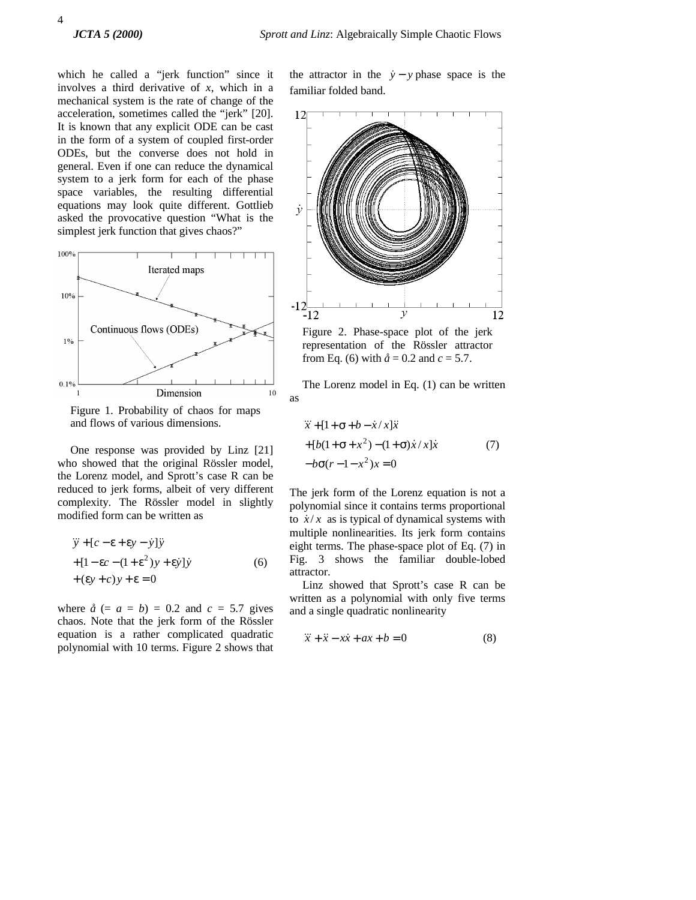which he called a "jerk function" since it involves a third derivative of *x*, which in a mechanical system is the rate of change of the acceleration, sometimes called the "jerk" [20]. It is known that any explicit ODE can be cast in the form of a system of coupled first-order ODEs, but the converse does not hold in general. Even if one can reduce the dynamical system to a jerk form for each of the phase space variables, the resulting differential equations may look quite different. Gottlieb asked the provocative question "What is the simplest jerk function that gives chaos?"



Figure 1. Probability of chaos for maps and flows of various dimensions.

One response was provided by Linz [21] who showed that the original Rössler model, the Lorenz model, and Sprott's case R can be reduced to jerk forms, albeit of very different complexity. The Rössler model in slightly modified form can be written as

$$
\ddot{y} + [c - \varepsilon + \varepsilon y - \dot{y}] \ddot{y}
$$
  
+ [1 - \varepsilon c - (1 + \varepsilon<sup>2</sup>)y + \varepsilon \dot{y}] \dot{y}  
+ (\varepsilon y + c)y + \varepsilon = 0 \t(6)

where  $\hat{a}$  (=  $a = b$ ) = 0.2 and  $c = 5.7$  gives chaos. Note that the jerk form of the Rössler equation is a rather complicated quadratic polynomial with 10 terms. Figure 2 shows that

the attractor in the  $\dot{y} - y$  phase space is the familiar folded band.



Figure 2. Phase-space plot of the jerk representation of the Rössler attractor from Eq. (6) with  $\hat{a} = 0.2$  and  $c = 5.7$ .

The Lorenz model in Eq. (1) can be written as

$$
\ddot{x} + [1 + \sigma + b - \dot{x}/x] \ddot{x}
$$
  
+ 
$$
[b(1 + \sigma + x^2) - (1 + \sigma) \dot{x}/x] \dot{x}
$$
 (7)  
-
$$
b\sigma(r-1-x^2)x = 0
$$

The jerk form of the Lorenz equation is not a polynomial since it contains terms proportional to  $\dot{x}/x$  as is typical of dynamical systems with multiple nonlinearities. Its jerk form contains eight terms. The phase-space plot of Eq. (7) in Fig. 3 shows the familiar double-lobed attractor.

Linz showed that Sprott's case R can be written as a polynomial with only five terms and a single quadratic nonlinearity

$$
\ddot{x} + \ddot{x} - x\dot{x} + ax + b = 0 \tag{8}
$$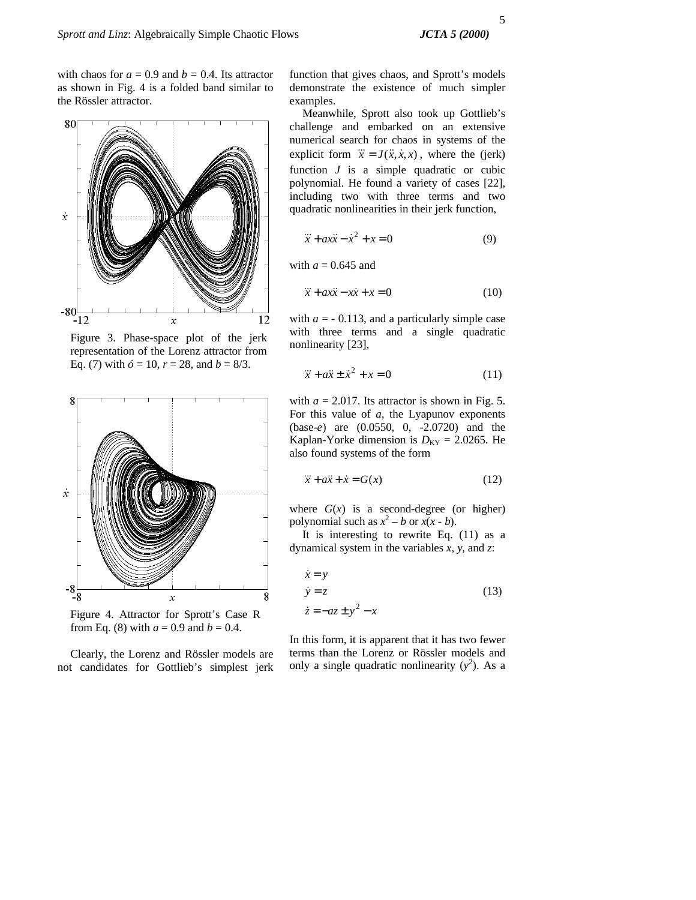with chaos for  $a = 0.9$  and  $b = 0.4$ . Its attractor as shown in Fig. 4 is a folded band similar to the Rössler attractor.



Figure 3. Phase-space plot of the jerk representation of the Lorenz attractor from Eq. (7) with  $\acute{o}$  = 10,  $r = 28$ , and  $b = 8/3$ .



Figure 4. Attractor for Sprott's Case R from Eq. (8) with  $a = 0.9$  and  $b = 0.4$ .

Clearly, the Lorenz and Rössler models are not candidates for Gottlieb's simplest jerk

function that gives chaos, and Sprott's models demonstrate the existence of much simpler examples.

Meanwhile, Sprott also took up Gottlieb's challenge and embarked on an extensive numerical search for chaos in systems of the explicit form  $\dddot{x} = J(\ddot{x}, \dot{x}, x)$ , where the (jerk) function *J* is a simple quadratic or cubic polynomial. He found a variety of cases [22], including two with three terms and two quadratic nonlinearities in their jerk function,

$$
\ddot{x} + ax\ddot{x} - \dot{x}^2 + x = 0 \tag{9}
$$

with  $a = 0.645$  and

$$
\ddot{x} + ax\ddot{x} - x\dot{x} + x = 0 \tag{10}
$$

with  $a = -0.113$ , and a particularly simple case with three terms and a single quadratic nonlinearity [23],

$$
\ddot{x} + a\ddot{x} \pm \dot{x}^2 + x = 0 \tag{11}
$$

with  $a = 2.017$ . Its attractor is shown in Fig. 5. For this value of *a*, the Lyapunov exponents (base-*e*) are (0.0550, 0, -2.0720) and the Kaplan-Yorke dimension is  $D_{KY} = 2.0265$ . He also found systems of the form

$$
\dddot{x} + a\ddot{x} + \dot{x} = G(x) \tag{12}
$$

where  $G(x)$  is a second-degree (or higher) polynomial such as  $x^2 - b$  or  $x(x - b)$ .

It is interesting to rewrite Eq. (11) as a dynamical system in the variables *x*, *y*, and *z*:

$$
\begin{aligned}\n\dot{x} &= y \\
\dot{y} &= z \\
\dot{z} &= -az \pm y^2 - x\n\end{aligned} (13)
$$

In this form, it is apparent that it has two fewer terms than the Lorenz or Rössler models and only a single quadratic nonlinearity  $(y^2)$ . As a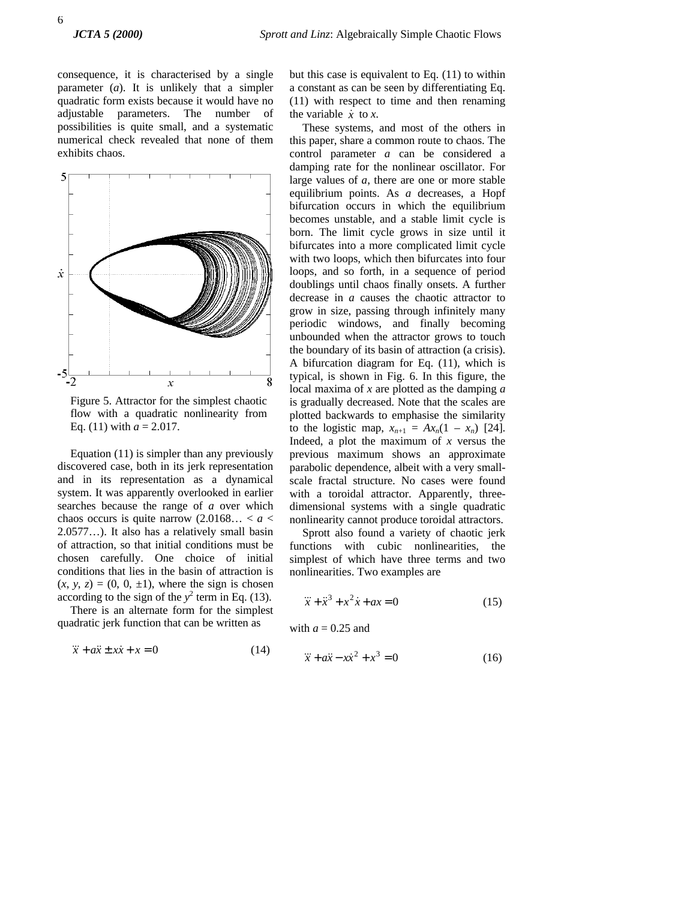consequence, it is characterised by a single parameter (*a*). It is unlikely that a simpler quadratic form exists because it would have no adjustable parameters. The number of possibilities is quite small, and a systematic numerical check revealed that none of them exhibits chaos.



Figure 5. Attractor for the simplest chaotic flow with a quadratic nonlinearity from Eq. (11) with  $a = 2.017$ .

Equation (11) is simpler than any previously discovered case, both in its jerk representation and in its representation as a dynamical system. It was apparently overlooked in earlier searches because the range of *a* over which chaos occurs is quite narrow  $(2.0168... < a <$ 2.0577…). It also has a relatively small basin of attraction, so that initial conditions must be chosen carefully. One choice of initial conditions that lies in the basin of attraction is  $(x, y, z) = (0, 0, \pm 1)$ , where the sign is chosen according to the sign of the  $y^2$  term in Eq. (13).

There is an alternate form for the simplest quadratic jerk function that can be written as

$$
\ddot{x} + a\ddot{x} \pm x\dot{x} + x = 0 \tag{14}
$$

but this case is equivalent to Eq. (11) to within a constant as can be seen by differentiating Eq. (11) with respect to time and then renaming the variable  $\dot{x}$  to  $\dot{x}$ .

These systems, and most of the others in this paper, share a common route to chaos. The control parameter *a* can be considered a damping rate for the nonlinear oscillator. For large values of *a*, there are one or more stable equilibrium points. As *a* decreases, a Hopf bifurcation occurs in which the equilibrium becomes unstable, and a stable limit cycle is born. The limit cycle grows in size until it bifurcates into a more complicated limit cycle with two loops, which then bifurcates into four loops, and so forth, in a sequence of period doublings until chaos finally onsets. A further decrease in *a* causes the chaotic attractor to grow in size, passing through infinitely many periodic windows, and finally becoming unbounded when the attractor grows to touch the boundary of its basin of attraction (a crisis). A bifurcation diagram for Eq. (11), which is typical, is shown in Fig. 6. In this figure, the local maxima of *x* are plotted as the damping *a* is gradually decreased. Note that the scales are plotted backwards to emphasise the similarity to the logistic map,  $x_{n+1} = Ax_n(1 - x_n)$  [24]. Indeed, a plot the maximum of *x* versus the previous maximum shows an approximate parabolic dependence, albeit with a very smallscale fractal structure. No cases were found with a toroidal attractor. Apparently, threedimensional systems with a single quadratic nonlinearity cannot produce toroidal attractors.

Sprott also found a variety of chaotic jerk functions with cubic nonlinearities, the simplest of which have three terms and two nonlinearities. Two examples are

$$
\ddot{x} + \ddot{x}^3 + x^2 \dot{x} + ax = 0 \tag{15}
$$

with  $a = 0.25$  and

$$
\dddot{x} + a\ddot{x} - x\dot{x}^2 + x^3 = 0 \tag{16}
$$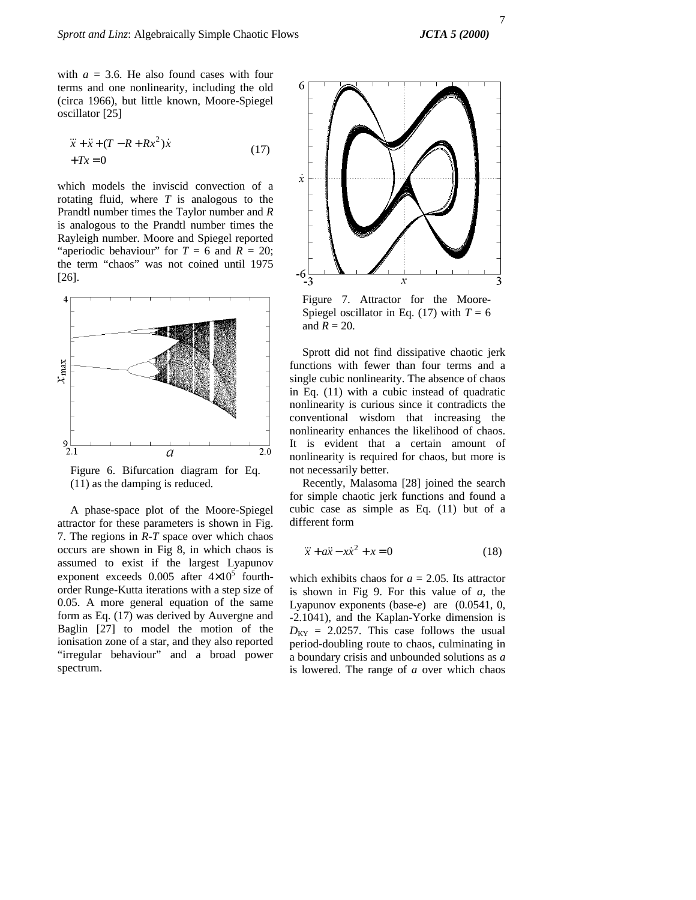with  $a = 3.6$ . He also found cases with four terms and one nonlinearity, including the old (circa 1966), but little known, Moore-Spiegel oscillator [25]

$$
\ddot{x} + \ddot{x} + (T - R + Rx^2)\dot{x} \n+ Tx = 0
$$
\n(17)

which models the inviscid convection of a rotating fluid, where *T* is analogous to the Prandtl number times the Taylor number and *R* is analogous to the Prandtl number times the Rayleigh number. Moore and Spiegel reported "aperiodic behaviour" for  $T = 6$  and  $R = 20$ ; the term "chaos" was not coined until 1975 [26].



Figure 6. Bifurcation diagram for Eq. (11) as the damping is reduced.

A phase-space plot of the Moore-Spiegel attractor for these parameters is shown in Fig. 7. The regions in *R-T* space over which chaos occurs are shown in Fig 8, in which chaos is assumed to exist if the largest Lyapunov exponent exceeds  $0.005$  after  $4\times10^5$  fourthorder Runge-Kutta iterations with a step size of 0.05. A more general equation of the same form as Eq. (17) was derived by Auvergne and Baglin [27] to model the motion of the ionisation zone of a star, and they also reported "irregular behaviour" and a broad power spectrum.



Figure 7. Attractor for the Moore-Spiegel oscillator in Eq. (17) with  $T = 6$ and  $R = 20$ .

Sprott did not find dissipative chaotic jerk functions with fewer than four terms and a single cubic nonlinearity. The absence of chaos in Eq. (11) with a cubic instead of quadratic nonlinearity is curious since it contradicts the conventional wisdom that increasing the nonlinearity enhances the likelihood of chaos. It is evident that a certain amount of nonlinearity is required for chaos, but more is not necessarily better.

Recently, Malasoma [28] joined the search for simple chaotic jerk functions and found a cubic case as simple as Eq. (11) but of a different form

$$
\ddot{x} + a\ddot{x} - x\dot{x}^2 + x = 0 \tag{18}
$$

which exhibits chaos for  $a = 2.05$ . Its attractor is shown in Fig 9. For this value of *a*, the Lyapunov exponents (base-*e*) are (0.0541, 0, -2.1041), and the Kaplan-Yorke dimension is  $D_{\text{KY}} = 2.0257$ . This case follows the usual period-doubling route to chaos, culminating in a boundary crisis and unbounded solutions as *a* is lowered. The range of *a* over which chaos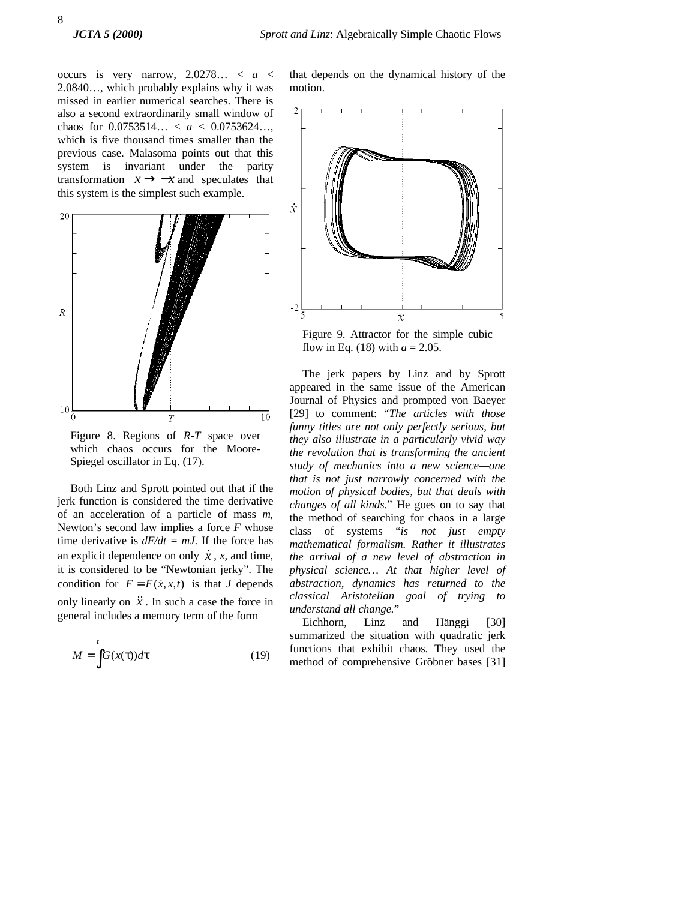occurs is very narrow,  $2.0278... < a <$ 2.0840…, which probably explains why it was missed in earlier numerical searches. There is also a second extraordinarily small window of chaos for 0.0753514… < *a* < 0.0753624…, which is five thousand times smaller than the previous case. Malasoma points out that this system is invariant under the parity transformation  $x \rightarrow -x$  and speculates that this system is the simplest such example.



Figure 8. Regions of *R-T* space over which chaos occurs for the Moore-Spiegel oscillator in Eq. (17).

Both Linz and Sprott pointed out that if the jerk function is considered the time derivative of an acceleration of a particle of mass *m*, Newton's second law implies a force *F* whose time derivative is  $dF/dt = mJ$ . If the force has an explicit dependence on only  $\dot{x}$ , *x*, and time, it is considered to be "Newtonian jerky". The condition for  $F = F(\dot{x}, x, t)$  is that *J* depends only linearly on  $\ddot{x}$ . In such a case the force in general includes a memory term of the form

$$
M = \int_{0}^{t} G(x(\tau))d\tau
$$
 (19)

that depends on the dynamical history of the motion.



Figure 9. Attractor for the simple cubic flow in Eq. (18) with  $a = 2.05$ .

The jerk papers by Linz and by Sprott appeared in the same issue of the American Journal of Physics and prompted von Baeyer [29] to comment: "*The articles with those funny titles are not only perfectly serious, but they also illustrate in a particularly vivid way the revolution that is transforming the ancient study of mechanics into a new science—one that is not just narrowly concerned with the motion of physical bodies, but that deals with changes of all kinds.*" He goes on to say that the method of searching for chaos in a large class of systems "*is not just empty mathematical formalism. Rather it illustrates the arrival of a new level of abstraction in physical science… At that higher level of abstraction, dynamics has returned to the classical Aristotelian goal of trying to understand all change.*"

Eichhorn, Linz and Hänggi [30] summarized the situation with quadratic jerk functions that exhibit chaos. They used the method of comprehensive Gröbner bases [31]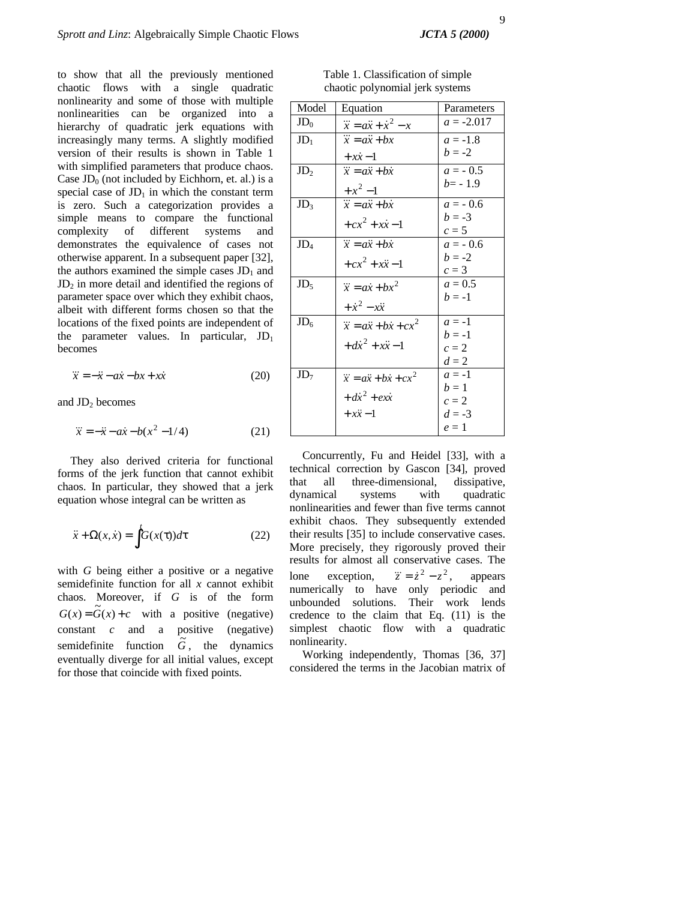to show that all the previously mentioned chaotic flows with a single quadratic nonlinearity and some of those with multiple nonlinearities can be organized into a hierarchy of quadratic jerk equations with increasingly many terms. A slightly modified version of their results is shown in Table 1 with simplified parameters that produce chaos. Case  $JD_0$  (not included by Eichhorn, et. al.) is a special case of  $JD_1$  in which the constant term is zero. Such a categorization provides a simple means to compare the functional complexity of different systems and demonstrates the equivalence of cases not otherwise apparent. In a subsequent paper [32], the authors examined the simple cases  $JD_1$  and  $JD_2$  in more detail and identified the regions of parameter space over which they exhibit chaos, albeit with different forms chosen so that the locations of the fixed points are independent of the parameter values. In particular,  $JD_1$ becomes

$$
\ddot{x} = -\ddot{x} - a\dot{x} - bx + x\dot{x} \tag{20}
$$

and  $JD_2$  becomes

$$
\ddot{x} = -\ddot{x} - a\dot{x} - b(x^2 - 1/4) \tag{21}
$$

They also derived criteria for functional forms of the jerk function that cannot exhibit chaos. In particular, they showed that a jerk equation whose integral can be written as

$$
\ddot{x} + \Omega(x, \dot{x}) = \int^{t} G(x(\tau))d\tau
$$
 (22)

with *G* being either a positive or a negative semidefinite function for all *x* cannot exhibit chaos. Moreover, if *G* is of the form  $G(x) = \tilde{G}(x) + c$  with a positive (negative) constant *c* and a positive (negative) semidefinite function  $\tilde{G}$ , the dynamics eventually diverge for all initial values, except for those that coincide with fixed points.

Table 1. Classification of simple chaotic polynomial jerk systems

| Model           | Equation                                  | Parameters   |
|-----------------|-------------------------------------------|--------------|
| $JD_0$          | $\dddot{x} = a\ddot{x} + \dot{x}^2 - x$   | $a = -2.017$ |
| JD <sub>1</sub> | $\dddot{x} = a\ddot{x} + bx$              | $a = -1.8$   |
|                 | $+ x\dot{x} - 1$                          | $b = -2$     |
| JD <sub>2</sub> | $\dddot{x} = a\ddot{x} + b\dot{x}$        | $a = -0.5$   |
|                 | $+x^2-1$                                  | $b = -1.9$   |
| JD <sub>3</sub> | $\dddot{x} = a\ddot{x} + b\dot{x}$        | $a = -0.6$   |
|                 | $+cx^{2} + x\dot{x} - 1$                  | $b = -3$     |
|                 |                                           | $c=5$        |
| $JD_4$          | $\dddot{x} = a\ddot{x} + b\dot{x}$        | $a = -0.6$   |
|                 | $+cx^{2} + x\ddot{x} - 1$                 | $b = -2$     |
|                 |                                           | $c=3$        |
| JD <sub>5</sub> | $\dddot{x} = a\dot{x} + bx^2$             | $a = 0.5$    |
|                 | $+\dot{x}^2 - x\ddot{x}$                  | $b = -1$     |
| $JD_6$          | $\dddot{x} = a\ddot{x} + b\dot{x} + cx^2$ | $a = -1$     |
|                 |                                           | $h = -1$     |
|                 | $+dx^{2} + x\ddot{x} - 1$                 | $c=2$        |
|                 |                                           | $d=2$        |
| $JD_7$          | $\dddot{x} = a\ddot{x} + b\dot{x} + cx^2$ | $a = -1$     |
|                 | $+dx^2 + e^{ix}$                          | $h=1$        |
|                 |                                           | $c=2$        |
|                 | $+ x\ddot{x} - 1$                         | $d = -3$     |
|                 |                                           | $e=1$        |

Concurrently, Fu and Heidel [33], with a technical correction by Gascon [34], proved that all three-dimensional, dissipative, dynamical systems with quadratic nonlinearities and fewer than five terms cannot exhibit chaos. They subsequently extended their results [35] to include conservative cases. More precisely, they rigorously proved their results for almost all conservative cases. The lone exception,  $\dddot{z} = \dot{z}^2 - z^2$ , appears numerically to have only periodic and unbounded solutions. Their work lends credence to the claim that Eq. (11) is the simplest chaotic flow with a quadratic nonlinearity.

Working independently, Thomas [36, 37] considered the terms in the Jacobian matrix of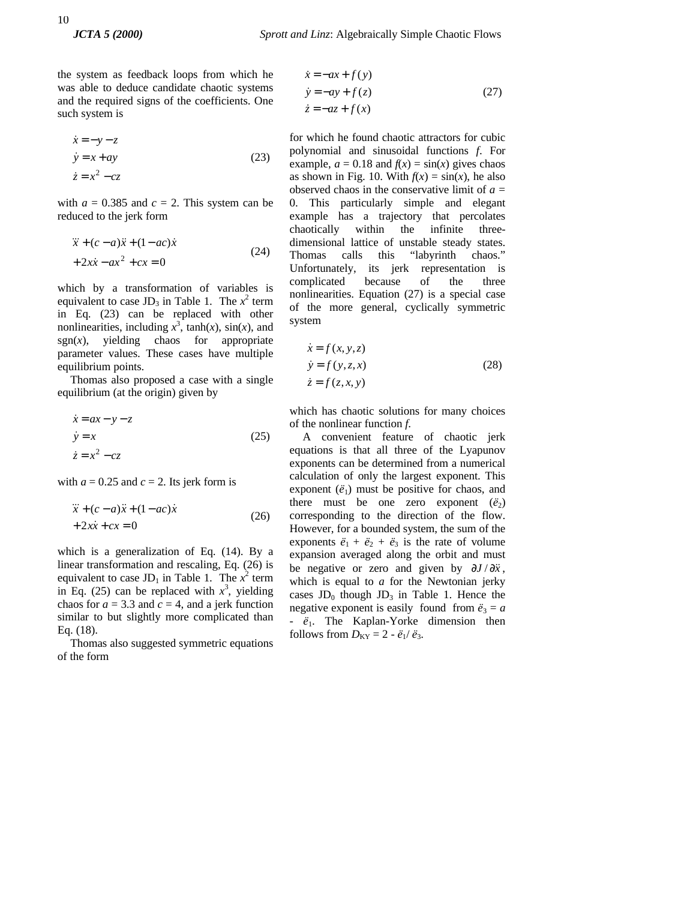the system as feedback loops from which he was able to deduce candidate chaotic systems and the required signs of the coefficients. One such system is

$$
\begin{aligned}\n\dot{x} &= -y - z \\
\dot{y} &= x + ay\n\end{aligned}
$$
\n(23)\n
$$
\begin{aligned}\n\dot{z} &= x^2 - cz\n\end{aligned}
$$

with  $a = 0.385$  and  $c = 2$ . This system can be reduced to the jerk form

$$
\ddot{x} + (c - a)\ddot{x} + (1 - ac)\dot{x} \n+ 2x\dot{x} - ax^2 + cx = 0
$$
\n(24)

which by a transformation of variables is equivalent to case  $JD_3$  in Table 1. The  $x^2$  term in Eq. (23) can be replaced with other nonlinearities, including  $x^3$ , tanh(*x*), sin(*x*), and  $sgn(x)$ , yielding chaos for appropriate parameter values. These cases have multiple equilibrium points.

Thomas also proposed a case with a single equilibrium (at the origin) given by

$$
\begin{aligned}\n\dot{x} &= ax - y - z \\
\dot{y} &= x\n\end{aligned} \tag{25}
$$
\n
$$
\dot{z} = x^2 - cz
$$

with  $a = 0.25$  and  $c = 2$ . Its jerk form is

$$
\ddot{x} + (c - a)\ddot{x} + (1 - ac)\dot{x} \n+ 2x\dot{x} + cx = 0
$$
\n(26)

which is a generalization of Eq. (14). By a linear transformation and rescaling, Eq. (26) is equivalent to case  $JD_1$  in Table 1. The  $x^2$  term in Eq. (25) can be replaced with  $x^3$ , yielding chaos for  $a = 3.3$  and  $c = 4$ , and a jerk function similar to but slightly more complicated than Eq. (18).

Thomas also suggested symmetric equations of the form

$$
\begin{aligned}\n\dot{x} &= -ax + f(y) \\
\dot{y} &= -ay + f(z) \\
\dot{z} &= -az + f(x)\n\end{aligned} (27)
$$

for which he found chaotic attractors for cubic polynomial and sinusoidal functions *f*. For example,  $a = 0.18$  and  $f(x) = \sin(x)$  gives chaos as shown in Fig. 10. With  $f(x) = \sin(x)$ , he also observed chaos in the conservative limit of  $a =$ 0. This particularly simple and elegant example has a trajectory that percolates chaotically within the infinite threedimensional lattice of unstable steady states. Thomas calls this "labyrinth chaos." Unfortunately, its jerk representation is complicated because of the three nonlinearities. Equation (27) is a special case of the more general, cyclically symmetric system

$$
\begin{aligned}\n\dot{x} &= f(x, y, z) \\
\dot{y} &= f(y, z, x) \\
\dot{z} &= f(z, x, y)\n\end{aligned}
$$
\n(28)

which has chaotic solutions for many choices of the nonlinear function *f*.

A convenient feature of chaotic jerk equations is that all three of the Lyapunov exponents can be determined from a numerical calculation of only the largest exponent. This exponent  $(\ddot{e}_1)$  must be positive for chaos, and there must be one zero exponent  $(\ddot{e}_2)$ corresponding to the direction of the flow. However, for a bounded system, the sum of the exponents  $\ddot{e}_1 + \ddot{e}_2 + \ddot{e}_3$  is the rate of volume expansion averaged along the orbit and must be negative or zero and given by  $\partial$ *J* /  $\partial$ *x*<sup>*x*</sup>, which is equal to *a* for the Newtonian jerky cases  $JD_0$  though  $JD_3$  in Table 1. Hence the negative exponent is easily found from  $\ddot{e}_3 = a$ - *ë*1. The Kaplan-Yorke dimension then follows from  $D_{KY} = 2 - \ddot{e}_1/\ddot{e}_3$ .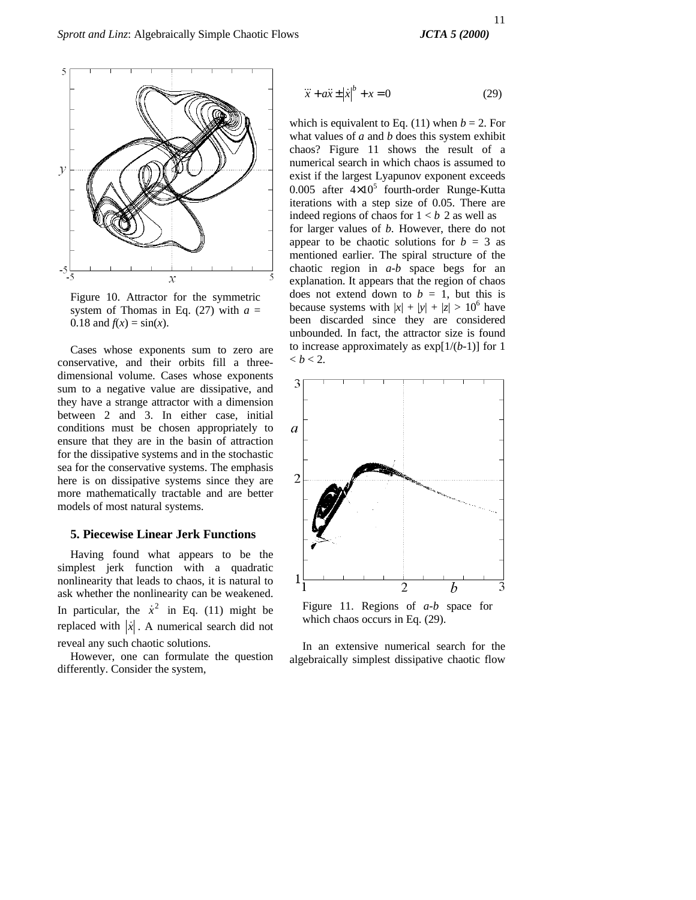

Figure 10. Attractor for the symmetric system of Thomas in Eq.  $(27)$  with  $a =$ 0.18 and  $f(x) = \sin(x)$ .

Cases whose exponents sum to zero are conservative, and their orbits fill a threedimensional volume. Cases whose exponents sum to a negative value are dissipative, and they have a strange attractor with a dimension between 2 and 3. In either case, initial conditions must be chosen appropriately to ensure that they are in the basin of attraction for the dissipative systems and in the stochastic sea for the conservative systems. The emphasis here is on dissipative systems since they are more mathematically tractable and are better models of most natural systems.

# **5. Piecewise Linear Jerk Functions**

Having found what appears to be the simplest jerk function with a quadratic nonlinearity that leads to chaos, it is natural to ask whether the nonlinearity can be weakened. In particular, the  $\dot{x}^2$  in Eq. (11) might be replaced with  $|\dot{x}|$ . A numerical search did not reveal any such chaotic solutions.

However, one can formulate the question differently. Consider the system,

$$
\ddot{x} + a\ddot{x} \pm \left|\dot{x}\right|^b + x = 0\tag{29}
$$

which is equivalent to Eq. (11) when  $b = 2$ . For what values of *a* and *b* does this system exhibit chaos? Figure 11 shows the result of a numerical search in which chaos is assumed to exist if the largest Lyapunov exponent exceeds 0.005 after  $4\times10^5$  fourth-order Runge-Kutta iterations with a step size of 0.05. There are indeed regions of chaos for  $1 < b$  2 as well as for larger values of *b.* However, there do not appear to be chaotic solutions for  $b = 3$  as mentioned earlier. The spiral structure of the chaotic region in *a-b* space begs for an explanation. It appears that the region of chaos does not extend down to  $b = 1$ , but this is because systems with  $|x| + |y| + |z| > 10^6$  have been discarded since they are considered unbounded. In fact, the attractor size is found to increase approximately as exp[1/(*b*-1)] for 1 **.** 



which chaos occurs in Eq. (29).

In an extensive numerical search for the algebraically simplest dissipative chaotic flow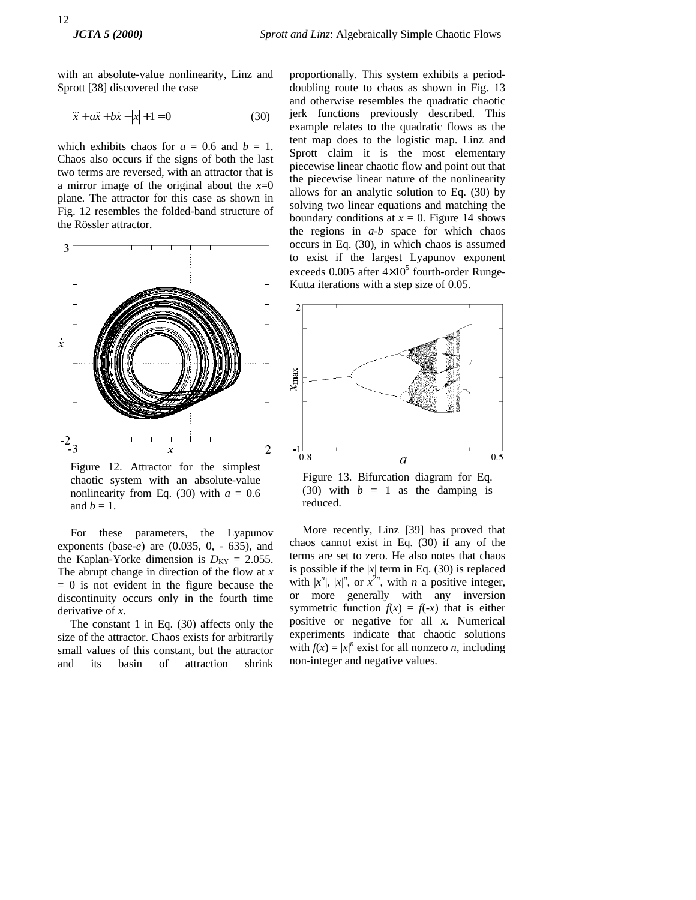with an absolute-value nonlinearity, Linz and Sprott [38] discovered the case

$$
\ddot{x} + a\ddot{x} + b\dot{x} - |x| + 1 = 0 \tag{30}
$$

which exhibits chaos for  $a = 0.6$  and  $b = 1$ . Chaos also occurs if the signs of both the last two terms are reversed, with an attractor that is a mirror image of the original about the  $x=0$ plane. The attractor for this case as shown in Fig. 12 resembles the folded-band structure of the Rössler attractor.



Figure 12. Attractor for the simplest chaotic system with an absolute-value nonlinearity from Eq. (30) with  $a = 0.6$ and  $b = 1$ .

For these parameters, the Lyapunov exponents (base-*e*) are (0.035, 0, - 635), and the Kaplan-Yorke dimension is  $D_{KY} = 2.055$ . The abrupt change in direction of the flow at *x*  $= 0$  is not evident in the figure because the discontinuity occurs only in the fourth time derivative of *x*.

The constant 1 in Eq. (30) affects only the size of the attractor. Chaos exists for arbitrarily small values of this constant, but the attractor and its basin of attraction shrink

proportionally. This system exhibits a perioddoubling route to chaos as shown in Fig. 13 and otherwise resembles the quadratic chaotic jerk functions previously described. This example relates to the quadratic flows as the tent map does to the logistic map. Linz and Sprott claim it is the most elementary piecewise linear chaotic flow and point out that the piecewise linear nature of the nonlinearity allows for an analytic solution to Eq. (30) by solving two linear equations and matching the boundary conditions at  $x = 0$ . Figure 14 shows the regions in *a-b* space for which chaos occurs in Eq. (30), in which chaos is assumed to exist if the largest Lyapunov exponent exceeds  $0.005$  after  $4 \times 10^5$  fourth-order Runge-Kutta iterations with a step size of 0.05.



Figure 13. Bifurcation diagram for Eq. (30) with  $b = 1$  as the damping is reduced.

More recently, Linz [39] has proved that chaos cannot exist in Eq. (30) if any of the terms are set to zero. He also notes that chaos is possible if the  $|x|$  term in Eq. (30) is replaced with  $|x^n|$ ,  $|x|^n$ , or  $x^{2n}$ , with *n* a positive integer, or more generally with any inversion symmetric function  $f(x) = f(-x)$  that is either positive or negative for all *x*. Numerical experiments indicate that chaotic solutions with  $f(x) = |x|^n$  exist for all nonzero *n*, including non-integer and negative values.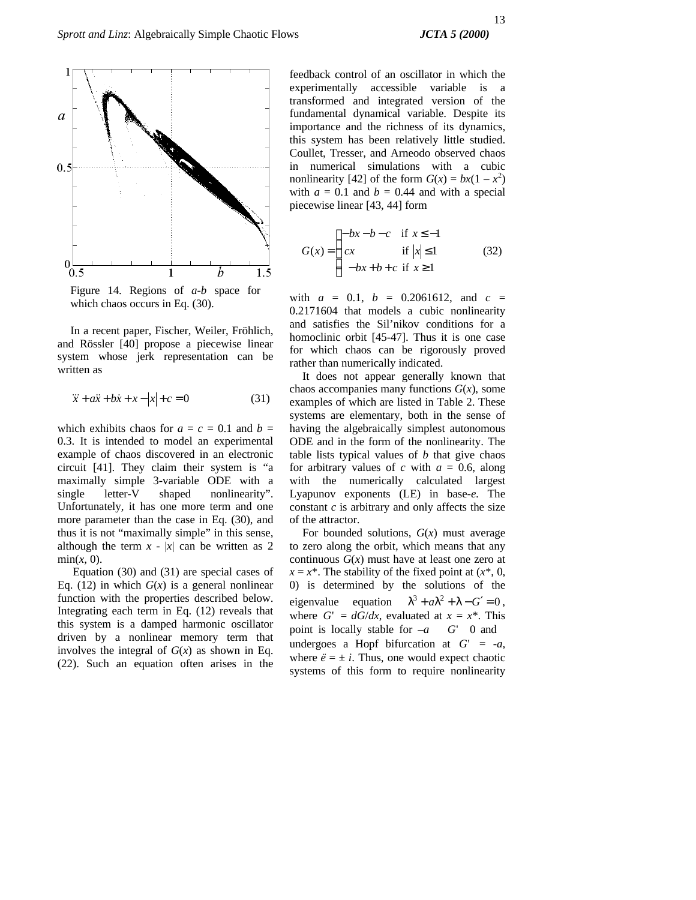

Figure 14. Regions of *a-b* space for which chaos occurs in Eq.  $(30)$ .

In a recent paper, Fischer, Weiler, Fröhlich, and Rössler [40] propose a piecewise linear system whose jerk representation can be written as

$$
\ddot{x} + a\ddot{x} + b\dot{x} + x - |x| + c = 0
$$
 (31)

which exhibits chaos for  $a = c = 0.1$  and  $b =$ 0.3. It is intended to model an experimental example of chaos discovered in an electronic circuit [41]. They claim their system is "a maximally simple 3-variable ODE with a single letter-V shaped nonlinearity". Unfortunately, it has one more term and one more parameter than the case in Eq. (30), and thus it is not "maximally simple" in this sense, although the term  $x - |x|$  can be written as 2  $min(x, 0)$ .

Equation (30) and (31) are special cases of Eq. (12) in which  $G(x)$  is a general nonlinear function with the properties described below. Integrating each term in Eq. (12) reveals that this system is a damped harmonic oscillator driven by a nonlinear memory term that involves the integral of  $G(x)$  as shown in Eq. (22). Such an equation often arises in the

feedback control of an oscillator in which the experimentally accessible variable is a transformed and integrated version of the fundamental dynamical variable. Despite its importance and the richness of its dynamics, this system has been relatively little studied. Coullet, Tresser, and Arneodo observed chaos in numerical simulations with a cubic nonlinearity [42] of the form  $G(x) = bx(1 - x^2)$ with  $a = 0.1$  and  $b = 0.44$  and with a special piecewise linear [43, 44] form

$$
G(x) = \begin{cases} -bx - b - c & \text{if } x \le -1 \\ cx & \text{if } |x| \le 1 \\ -bx + b + c & \text{if } x \ge 1 \end{cases}
$$
(32)

with  $a = 0.1$ ,  $b = 0.2061612$ , and  $c =$ 0.2171604 that models a cubic nonlinearity and satisfies the Sil'nikov conditions for a homoclinic orbit [45-47]. Thus it is one case for which chaos can be rigorously proved rather than numerically indicated.

It does not appear generally known that chaos accompanies many functions  $G(x)$ , some examples of which are listed in Table 2. These systems are elementary, both in the sense of having the algebraically simplest autonomous ODE and in the form of the nonlinearity. The table lists typical values of *b* that give chaos for arbitrary values of  $c$  with  $a = 0.6$ , along with the numerically calculated largest Lyapunov exponents (LE) in base-*e*. The constant  $c$  is arbitrary and only affects the size of the attractor.

For bounded solutions, *G*(*x*) must average to zero along the orbit, which means that any continuous  $G(x)$  must have at least one zero at  $x = x^*$ . The stability of the fixed point at  $(x^*, 0, 0)$ 0) is determined by the solutions of the eigenvalue equation  $\lambda^3 + a\lambda^2 + \lambda - G' = 0$ , where  $G' = dG/dx$ , evaluated at  $x = x^*$ . This point is locally stable for  $-a$  *G*' 0 and undergoes a Hopf bifurcation at  $G' = -a$ , where  $\ddot{e} = \pm i$ . Thus, one would expect chaotic systems of this form to require nonlinearity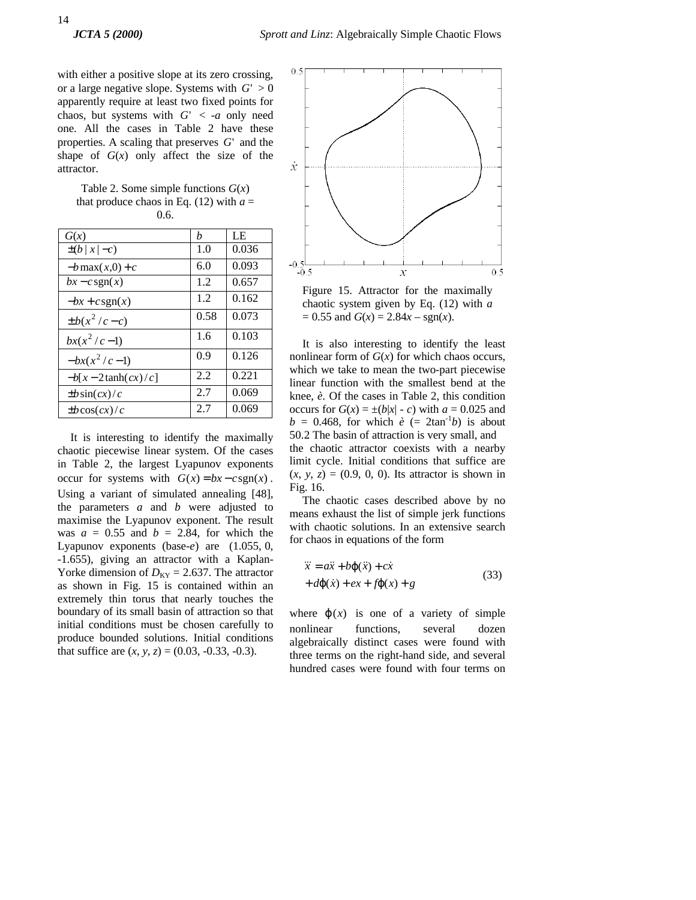with either a positive slope at its zero crossing, or a large negative slope. Systems with  $G' > 0$ apparently require at least two fixed points for chaos, but systems with  $G' < -a$  only need one. All the cases in Table 2 have these properties. A scaling that preserves *G*' and the shape of  $G(x)$  only affect the size of the attractor.

Table 2. Some simple functions  $G(x)$ that produce chaos in Eq.  $(12)$  with  $a =$ 0.6.

| G(x)                 | h    | LE    |
|----------------------|------|-------|
| $\pm(b x -c)$        | 1.0  | 0.036 |
| $-b$ max $(x,0) + c$ | 6.0  | 0.093 |
| $bx - c$ sgn(x)      | 1.2  | 0.657 |
| $-bx + csgn(x)$      | 1.2  | 0.162 |
| $\pm b(x^2/c-c)$     | 0.58 | 0.073 |
| $bx(x^2/c-1)$        | 1.6  | 0.103 |
| $-bx(x^2/c-1)$       | 0.9  | 0.126 |
| $-b[x-2\tanh(cx)/c]$ | 2.2  | 0.221 |
| $\pm b \sin(cx)/c$   | 2.7  | 0.069 |
| $\pm b \cos(cx)/c$   | 2.7  | 0.069 |

It is interesting to identify the maximally chaotic piecewise linear system. Of the cases in Table 2, the largest Lyapunov exponents occur for systems with  $G(x) = bx - c \operatorname{sgn}(x)$ . Using a variant of simulated annealing [48], the parameters *a* and *b* were adjusted to maximise the Lyapunov exponent. The result was  $a = 0.55$  and  $b = 2.84$ , for which the Lyapunov exponents (base-*e*) are (1.055, 0, -1.655), giving an attractor with a Kaplan-Yorke dimension of  $D_{KY} = 2.637$ . The attractor as shown in Fig. 15 is contained within an extremely thin torus that nearly touches the boundary of its small basin of attraction so that initial conditions must be chosen carefully to produce bounded solutions. Initial conditions that suffice are  $(x, y, z) = (0.03, -0.33, -0.3)$ .



Figure 15. Attractor for the maximally chaotic system given by Eq. (12) with *a*  $= 0.55$  and  $G(x) = 2.84x - sgn(x)$ .

It is also interesting to identify the least nonlinear form of  $G(x)$  for which chaos occurs, which we take to mean the two-part piecewise linear function with the smallest bend at the knee, *è.* Of the cases in Table 2, this condition occurs for  $G(x) = \pm (b|x| - c)$  with  $a = 0.025$  and  $b = 0.468$ , for which  $\dot{e}$  (= 2tan<sup>-1</sup>b) is about 50.2. The basin of attraction is very small, and the chaotic attractor coexists with a nearby limit cycle. Initial conditions that suffice are  $(x, y, z) = (0.9, 0, 0)$ . Its attractor is shown in Fig. 16.

The chaotic cases described above by no means exhaust the list of simple jerk functions with chaotic solutions. In an extensive search for chaos in equations of the form

$$
\ddot{x} = a\ddot{x} + b\varphi(\ddot{x}) + c\dot{x} \n+ d\varphi(\dot{x}) + ex + f\varphi(x) + g
$$
\n(33)

where  $\mathbf{j}(x)$  is one of a variety of simple nonlinear functions, several dozen algebraically distinct cases were found with three terms on the right-hand side, and several hundred cases were found with four terms on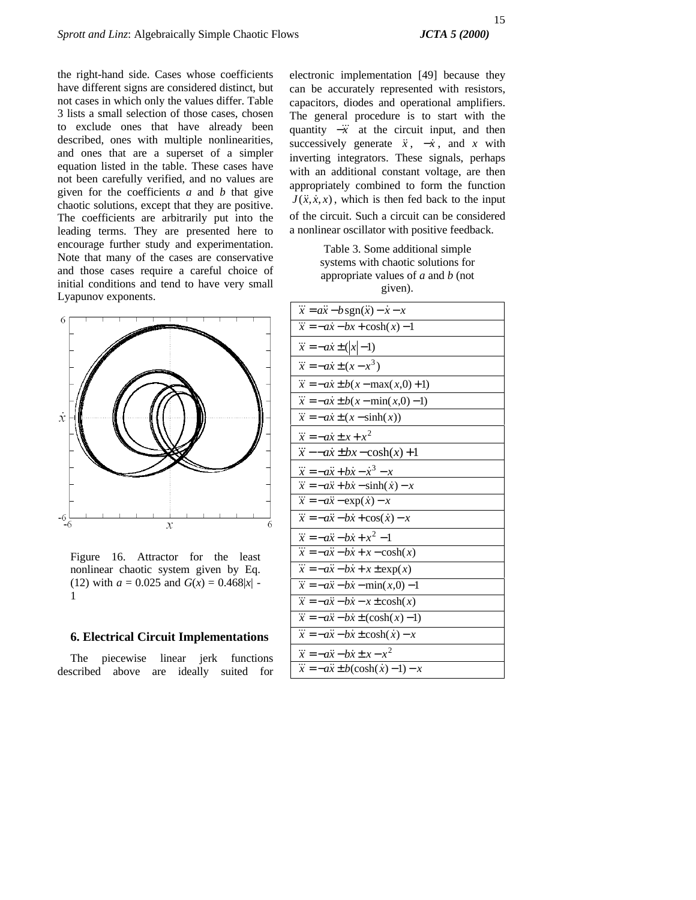the right-hand side. Cases whose coefficients have different signs are considered distinct, but not cases in which only the values differ. Table 3 lists a small selection of those cases, chosen to exclude ones that have already been described, ones with multiple nonlinearities, and ones that are a superset of a simpler equation listed in the table. These cases have not been carefully verified, and no values are given for the coefficients *a* and *b* that give chaotic solutions, except that they are positive. The coefficients are arbitrarily put into the leading terms. They are presented here to encourage further study and experimentation. Note that many of the cases are conservative and those cases require a careful choice of initial conditions and tend to have very small Lyapunov exponents.



Figure 16. Attractor for the least nonlinear chaotic system given by Eq. (12) with  $a = 0.025$  and  $G(x) = 0.468|x|$ 1

# **6. Electrical Circuit Implementations**

The piecewise linear jerk functions described above are ideally suited for electronic implementation [49] because they can be accurately represented with resistors, capacitors, diodes and operational amplifiers. The general procedure is to start with the quantity  $-\ddot{x}$  at the circuit input, and then successively generate  $\ddot{x}$ ,  $-\dot{x}$ , and *x* with inverting integrators. These signals, perhaps with an additional constant voltage, are then appropriately combined to form the function  $J(\ddot{x}, \dot{x}, x)$ , which is then fed back to the input of the circuit. Such a circuit can be considered a nonlinear oscillator with positive feedback.

> Table 3. Some additional simple systems with chaotic solutions for appropriate values of *a* and *b* (not given).

| $\dddot{x} = a\ddot{x} - b\operatorname{sgn}(\ddot{x}) - \dot{x} - x$ |
|-----------------------------------------------------------------------|
| $\overline{\ddot{x}} = -a\dot{x} - bx + \cosh(x) - 1$                 |
| $\dddot{x} = -a\dot{x} \pm ( x -1)$                                   |
| $\dddot{x} = -a\dot{x} \pm (x - x^3)$                                 |
| $\dddot{x} = -a\dot{x} \pm b(x - \max(x,0) + 1)$                      |
| $\dddot{x} = -a\dot{x} \pm b(x - \min(x, 0) - 1)$                     |
| $\dddot{x} = -a\dot{x} \pm (x - \sinh(x))$                            |
| $\dddot{x} = -a\dot{x} \pm x + x^2$                                   |
| $\dddot{x}$ - $-ax \pm bx - \cosh(x) + 1$                             |
| $\dddot{x} = -a\ddot{x} + b\dot{x} - \dot{x}^3 - x$                   |
| $\dddot{x} = -a\ddot{x} + b\dot{x} - \sinh(\dot{x}) - x$              |
| $\dddot{x} = -a\ddot{x} - \exp(\dot{x}) - x$                          |
| $\dddot{x} = -a\ddot{x} - b\dot{x} + \cos(\dot{x}) - x$               |
| $\dddot{x} = -a\ddot{x} - b\dot{x} + x^2 - 1$                         |
| $\overline{\ddot{x}} = -a\ddot{x} - b\dot{x} + x - \cosh(x)$          |
| $\overline{\ddot{x}} = -a\ddot{x} - b\dot{x} + x \pm \exp(x)$         |
| $\overline{\ddot{x}} = -a\ddot{x} - b\dot{x} - \min(x,0) - 1$         |
| $\overline{\ddot{x}} = -a\ddot{x} - b\dot{x} - x \pm \cosh(x)$        |
| $\dddot{x} = -a\ddot{x} - b\dot{x} \pm (\cosh(x) - 1)$                |
| $\dddot{x} = -a\ddot{x} - b\dot{x} \pm \cosh(\dot{x}) - x$            |
| $\dddot{x} = -a\ddot{x} - b\dot{x} \pm x - x^2$                       |
| $\dddot{x} = -a\ddot{x} \pm b(\cosh(\dot{x}) - 1) - x$                |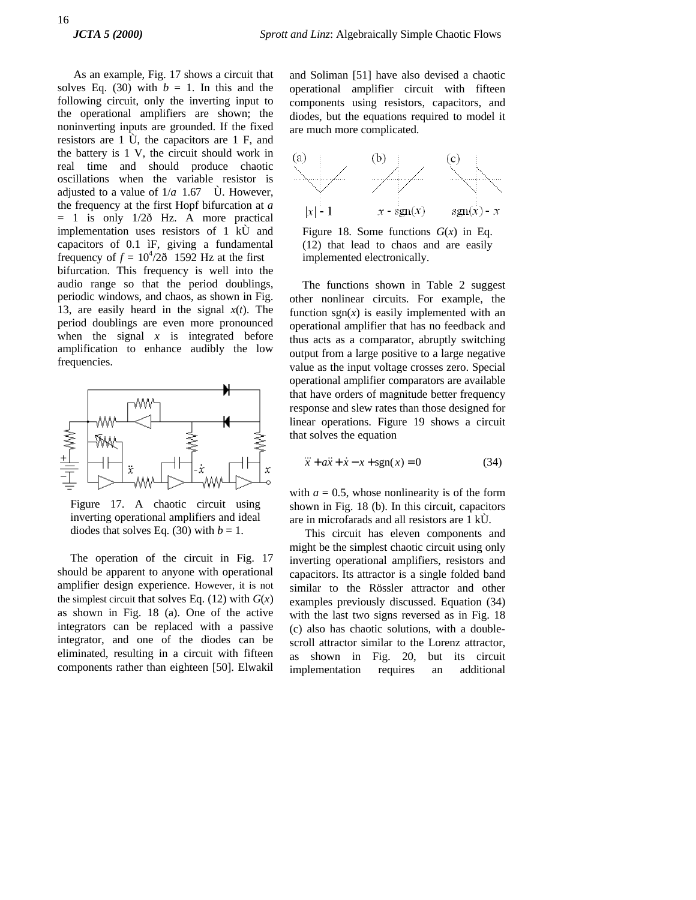As an example, Fig. 17 shows a circuit that solves Eq. (30) with  $b = 1$ . In this and the following circuit, only the inverting input to the operational amplifiers are shown; the noninverting inputs are grounded. If the fixed resistors are 1 Ù, the capacitors are 1 F, and the battery is 1 V, the circuit should work in real time and should produce chaotic oscillations when the variable resistor is adjusted to a value of  $1/a$  1.67  $\dot{\text{U}}$ . However, the frequency at the first Hopf bifurcation at *a*  $= 1$  is only  $1/2\delta$  Hz. A more practical implementation uses resistors of 1 kÙ and capacitors of 0.1 ìF, giving a fundamental frequency of  $f = 10^4/2\delta$  1592 Hz at the first bifurcation. This frequency is well into the audio range so that the period doublings, periodic windows, and chaos, as shown in Fig. 13, are easily heard in the signal *x*(*t*). The period doublings are even more pronounced when the signal  $x$  is integrated before amplification to enhance audibly the low frequencies.



Figure 17. A chaotic circuit using inverting operational amplifiers and ideal diodes that solves Eq. (30) with  $b = 1$ .

The operation of the circuit in Fig. 17 should be apparent to anyone with operational amplifier design experience. However, it is not the simplest circuit that solves Eq.  $(12)$  with  $G(x)$ as shown in Fig. 18 (a). One of the active integrators can be replaced with a passive integrator, and one of the diodes can be eliminated, resulting in a circuit with fifteen components rather than eighteen [50]. Elwakil

and Soliman [51] have also devised a chaotic operational amplifier circuit with fifteen components using resistors, capacitors, and diodes, but the equations required to model it are much more complicated.



Figure 18. Some functions  $G(x)$  in Eq. (12) that lead to chaos and are easily implemented electronically.

The functions shown in Table 2 suggest other nonlinear circuits. For example, the function  $sgn(x)$  is easily implemented with an operational amplifier that has no feedback and thus acts as a comparator, abruptly switching output from a large positive to a large negative value as the input voltage crosses zero. Special operational amplifier comparators are available that have orders of magnitude better frequency response and slew rates than those designed for linear operations. Figure 19 shows a circuit that solves the equation

$$
\dddot{x} + a\ddot{x} + \dot{x} - x + \text{sgn}(x) = 0 \tag{34}
$$

with  $a = 0.5$ , whose nonlinearity is of the form shown in Fig. 18 (b). In this circuit, capacitors are in microfarads and all resistors are 1 kÙ.

This circuit has eleven components and might be the simplest chaotic circuit using only inverting operational amplifiers, resistors and capacitors. Its attractor is a single folded band similar to the Rössler attractor and other examples previously discussed. Equation (34) with the last two signs reversed as in Fig. 18 (c) also has chaotic solutions, with a doublescroll attractor similar to the Lorenz attractor, as shown in Fig. 20, but its circuit implementation requires an additional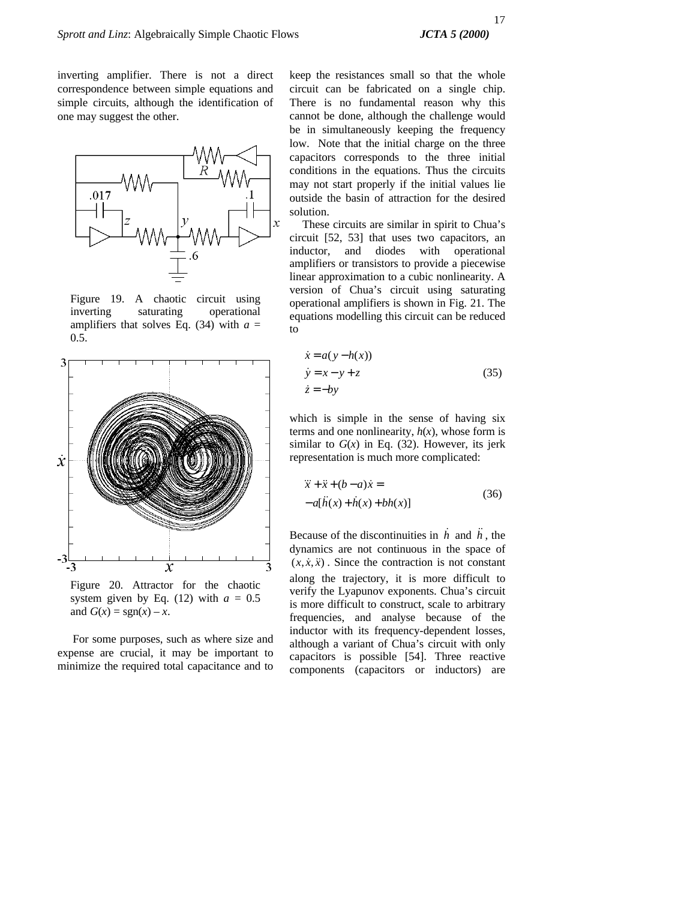inverting amplifier. There is not a direct correspondence between simple equations and simple circuits, although the identification of one may suggest the other.



Figure 19. A chaotic circuit using inverting saturating operational amplifiers that solves Eq.  $(34)$  with  $a =$ 0.5.



Figure 20. Attractor for the chaotic system given by Eq.  $(12)$  with  $a = 0.5$ and  $G(x) = sgn(x) - x$ .

For some purposes, such as where size and expense are crucial, it may be important to minimize the required total capacitance and to keep the resistances small so that the whole circuit can be fabricated on a single chip. There is no fundamental reason why this cannot be done, although the challenge would be in simultaneously keeping the frequency low. Note that the initial charge on the three capacitors corresponds to the three initial conditions in the equations. Thus the circuits may not start properly if the initial values lie outside the basin of attraction for the desired solution.

These circuits are similar in spirit to Chua's circuit [52, 53] that uses two capacitors, an inductor, and diodes with operational amplifiers or transistors to provide a piecewise linear approximation to a cubic nonlinearity. A version of Chua's circuit using saturating operational amplifiers is shown in Fig. 21. The equations modelling this circuit can be reduced to

$$
\begin{aligned}\n\dot{x} &= a(y - h(x)) \\
\dot{y} &= x - y + z \\
\dot{z} &= -by\n\end{aligned} \tag{35}
$$

which is simple in the sense of having six terms and one nonlinearity,  $h(x)$ , whose form is similar to  $G(x)$  in Eq. (32). However, its jerk representation is much more complicated:

$$
\ddot{x} + \ddot{x} + (b - a)\dot{x} =
$$
  
-a[\ddot{h}(x) + \dot{h}(x) + bh(x)] (36)

Because of the discontinuities in  $\vec{h}$  and  $\vec{h}$ , the dynamics are not continuous in the space of  $(x, \dot{x}, \ddot{x})$ . Since the contraction is not constant along the trajectory, it is more difficult to verify the Lyapunov exponents. Chua's circuit is more difficult to construct, scale to arbitrary frequencies, and analyse because of the inductor with its frequency-dependent losses, although a variant of Chua's circuit with only capacitors is possible [54]. Three reactive components (capacitors or inductors) are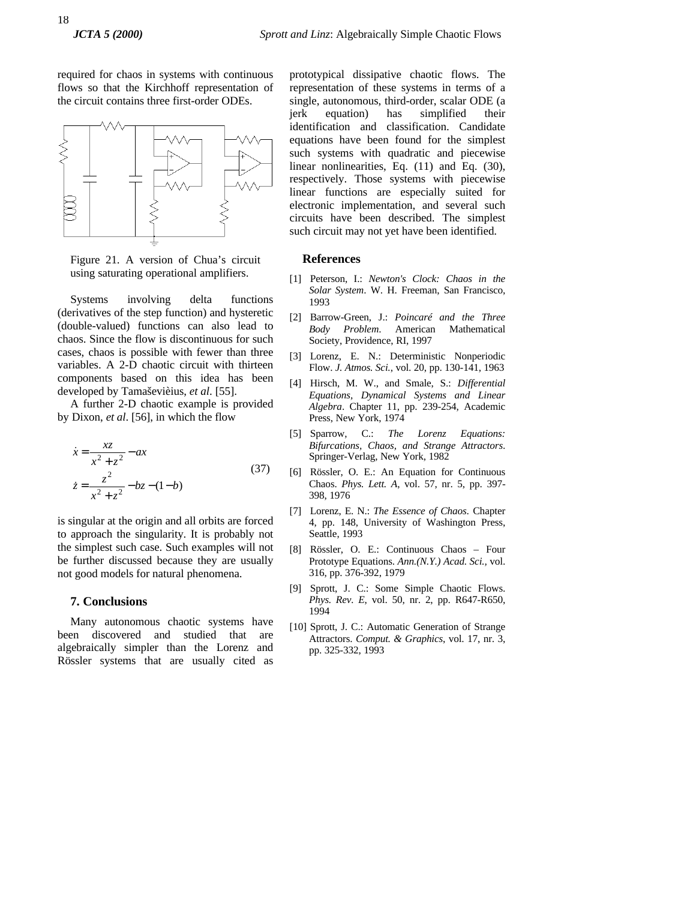required for chaos in systems with continuous flows so that the Kirchhoff representation of the circuit contains three first-order ODEs.



Figure 21. A version of Chua's circuit using saturating operational amplifiers.

Systems involving delta functions (derivatives of the step function) and hysteretic (double-valued) functions can also lead to chaos. Since the flow is discontinuous for such cases, chaos is possible with fewer than three variables. A 2-D chaotic circuit with thirteen components based on this idea has been developed by Tamaševièius, *et al*. [55].

A further 2-D chaotic example is provided by Dixon, *et al*. [56], in which the flow

$$
\begin{aligned}\n\dot{x} &= \frac{xz}{x^2 + z^2} - ax \\
\dot{z} &= \frac{z^2}{x^2 + z^2} - bz - (1 - b)\n\end{aligned} \tag{37}
$$

is singular at the origin and all orbits are forced to approach the singularity. It is probably not the simplest such case. Such examples will not be further discussed because they are usually not good models for natural phenomena.

## **7. Conclusions**

Many autonomous chaotic systems have been discovered and studied that are algebraically simpler than the Lorenz and Rössler systems that are usually cited as

prototypical dissipative chaotic flows. The representation of these systems in terms of a single, autonomous, third-order, scalar ODE (a jerk equation) has simplified their identification and classification. Candidate equations have been found for the simplest such systems with quadratic and piecewise linear nonlinearities, Eq. (11) and Eq. (30), respectively. Those systems with piecewise linear functions are especially suited for electronic implementation, and several such circuits have been described. The simplest such circuit may not yet have been identified.

## **References**

- [1] Peterson, I.: *Newton's Clock: Chaos in the Solar System*. W. H. Freeman, San Francisco, 1993
- [2] Barrow-Green, J.: *Poincaré and the Three Body Problem*. American Mathematical Society, Providence, RI, 1997
- [3] Lorenz, E. N.: Deterministic Nonperiodic Flow. *J. Atmos. Sci.*, vol. 20, pp. 130-141, 1963
- [4] Hirsch, M. W., and Smale, S.: *Differential Equations, Dynamical Systems and Linear Algebra*. Chapter 11, pp. 239-254, Academic Press, New York, 1974
- [5] Sparrow, C.: *The Lorenz Equations: Bifurcations, Chaos, and Strange Attractors*. Springer-Verlag, New York, 1982
- [6] Rössler, O. E.: An Equation for Continuous Chaos. *Phys. Lett. A*, vol. 57, nr. 5, pp. 397- 398, 1976
	- [7] Lorenz, E. N.: *The Essence of Chaos*. Chapter 4, pp. 148, University of Washington Press, Seattle, 1993
- [8] Rössler, O. E.: Continuous Chaos Four Prototype Equations. *Ann.(N.Y.) Acad. Sci.,* vol. 316, pp. 376-392, 1979
- [9] Sprott, J. C.: Some Simple Chaotic Flows. *Phys. Rev. E*, vol. 50, nr. 2, pp. R647-R650, 1994
- [10] Sprott, J. C.: Automatic Generation of Strange Attractors. *Comput. & Graphics*, vol. 17, nr. 3, pp. 325-332, 1993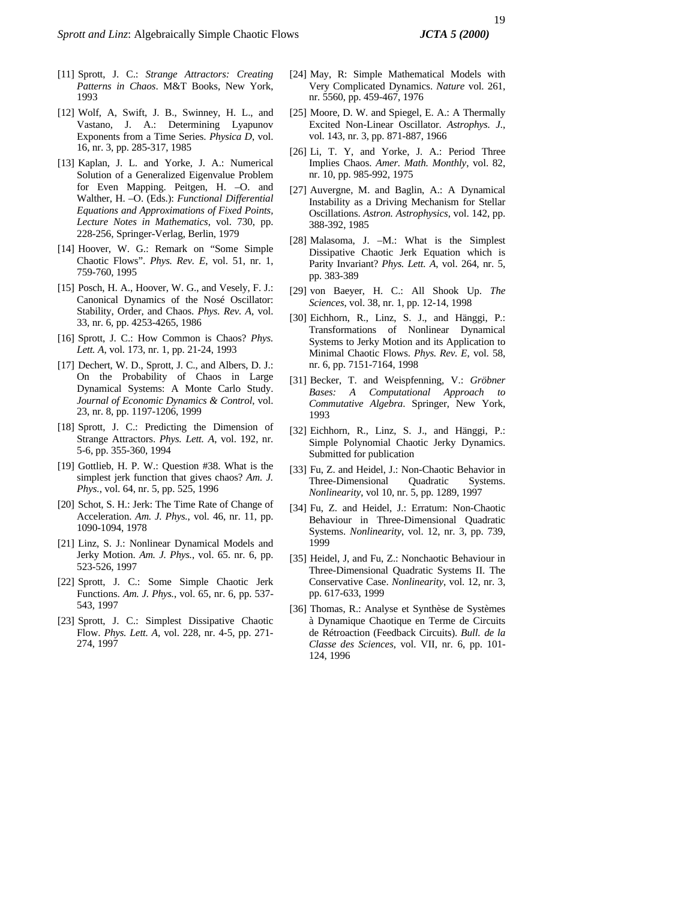- [11] Sprott, J. C.: *Strange Attractors: Creating Patterns in Chaos*. M&T Books, New York, 1993
- [12] Wolf, A, Swift, J. B., Swinney, H. L., and Vastano, J. A.: Determining Lyapunov Exponents from a Time Series. *Physica D*, vol. 16, nr. 3, pp. 285-317, 1985
- [13] Kaplan, J. L. and Yorke, J. A.: Numerical Solution of a Generalized Eigenvalue Problem for Even Mapping. Peitgen, H. –O. and Walther, H. –O. (Eds.): *Functional Differential Equations and Approximations of Fixed Points, Lecture Notes in Mathematics*, vol. 730, pp. 228-256, Springer-Verlag, Berlin, 1979
- [14] Hoover, W. G.: Remark on "Some Simple Chaotic Flows". *Phys. Rev. E*, vol. 51, nr. 1, 759-760, 1995
- [15] Posch, H. A., Hoover, W. G., and Vesely, F. J.: Canonical Dynamics of the Nosé Oscillator: Stability, Order, and Chaos. *Phys. Rev. A*, vol. 33, nr. 6, pp. 4253-4265, 1986
- [16] Sprott, J. C.: How Common is Chaos? *Phys. Lett. A*, vol. 173, nr. 1, pp. 21-24, 1993
- [17] Dechert, W. D., Sprott, J. C., and Albers, D. J.: On the Probability of Chaos in Large Dynamical Systems: A Monte Carlo Study. *Journal of Economic Dynamics & Control*, vol. 23, nr. 8, pp. 1197-1206, 1999
- [18] Sprott, J. C.: Predicting the Dimension of Strange Attractors. *Phys. Lett. A*, vol. 192, nr. 5-6, pp. 355-360, 1994
- [19] Gottlieb, H. P. W.: Question #38. What is the simplest jerk function that gives chaos? *Am. J. Phys.*, vol. 64, nr. 5, pp. 525, 1996
- [20] Schot, S. H.: Jerk: The Time Rate of Change of Acceleration. *Am. J. Phys.*, vol. 46, nr. 11, pp. 1090-1094, 1978
- [21] Linz, S. J.: Nonlinear Dynamical Models and Jerky Motion. *Am. J. Phys.*, vol. 65. nr. 6, pp. 523-526, 1997
- [22] Sprott, J. C.: Some Simple Chaotic Jerk Functions. *Am. J. Phys.*, vol. 65, nr. 6, pp. 537- 543, 1997
- [23] Sprott, J. C.: Simplest Dissipative Chaotic Flow. *Phys. Lett. A*, vol. 228, nr. 4-5, pp. 271- 274, 1997
- [24] May, R: Simple Mathematical Models with Very Complicated Dynamics. *Nature* vol. 261, nr. 5560, pp. 459-467, 1976
- [25] Moore, D. W. and Spiegel, E. A.: A Thermally Excited Non-Linear Oscillator. *Astrophys. J.*, vol. 143, nr. 3, pp. 871-887, 1966
- [26] Li, T. Y, and Yorke, J. A.: Period Three Implies Chaos. *Amer. Math. Monthly*, vol. 82, nr. 10, pp. 985-992, 1975
- [27] Auvergne, M. and Baglin, A.: A Dynamical Instability as a Driving Mechanism for Stellar Oscillations. *Astron. Astrophysics*, vol. 142, pp. 388-392, 1985
- [28] Malasoma, J. –M.: What is the Simplest Dissipative Chaotic Jerk Equation which is Parity Invariant? *Phys. Lett. A*, vol. 264, nr. 5, pp. 383-389
- [29] von Baeyer, H. C.: All Shook Up. *The Sciences*, vol. 38, nr. 1, pp. 12-14, 1998
- [30] Eichhorn, R., Linz, S. J., and Hänggi, P.: Transformations of Nonlinear Dynamical Systems to Jerky Motion and its Application to Minimal Chaotic Flows. *Phys. Rev. E*, vol. 58, nr. 6, pp. 7151-7164, 1998
- [31] Becker, T. and Weispfenning, V.: *Gröbner Bases: A Computational Approach to Commutative Algebra*. Springer, New York, 1993
- [32] Eichhorn, R., Linz, S. J., and Hänggi, P.: Simple Polynomial Chaotic Jerky Dynamics. Submitted for publication
- [33] Fu, Z. and Heidel, J.: Non-Chaotic Behavior in Three-Dimensional Quadratic Systems. *Nonlinearity*, vol 10, nr. 5, pp. 1289, 1997
- [34] Fu, Z. and Heidel, J.: Erratum: Non-Chaotic Behaviour in Three-Dimensional Quadratic Systems. *Nonlinearity*, vol. 12, nr. 3, pp. 739, 1999
- [35] Heidel, J, and Fu, Z.: Nonchaotic Behaviour in Three-Dimensional Quadratic Systems II. The Conservative Case. *Nonlinearity*, vol. 12, nr. 3, pp. 617-633, 1999
- [36] Thomas, R.: Analyse et Synthèse de Systèmes à Dynamique Chaotique en Terme de Circuits de Rétroaction (Feedback Circuits). *Bull. de la Classe des Sciences*, vol. VII, nr. 6, pp. 101- 124, 1996